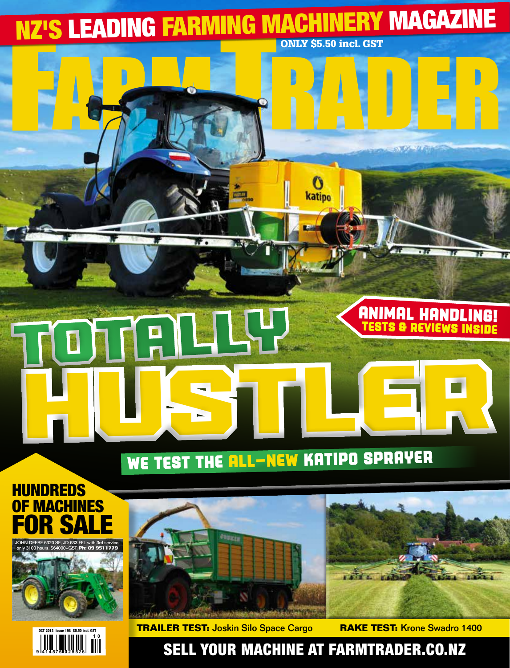

# We test the all-new Katipo sprayer

## **UNDREDS MACHINES** R S







**Trailer Test:** Joskin Silo Space Cargo **Rake Test:** Krone Swadro 1400

## Sell your machine at farmtrader.co.nz

 $\overline{1}$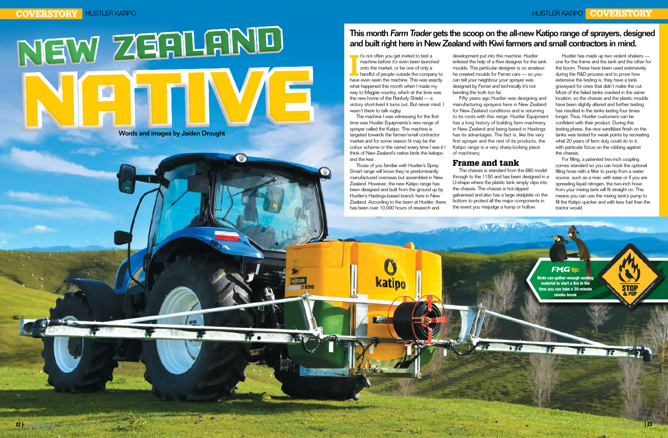# NATIVE NEW ZEALAND

I's not often you get invited to test a<br>
machine before it's even been launched<br>
onto the market, or be one of only a<br>
handful of people outside the company to<br>
have even seen the machine. This was exactly t's not often you get invited to test a machine before it's even been launched onto the market, or be one of only a handful of people outside the company to what happened this month when I made my way to Magpie country, which at the time was the new home of the Ranfurly Shield — a victory short-lived it turns out. But never mind, I wasn't there to talk rugby.

The machine I was witnessing for the first time was Hustler Equipments's new range of sprayer called the Katipo. This machine is targeted towards the farmer/small contractor market and for some reason (it may be the colour scheme or the name) every time I see it I think of New Zealand's native birds the kakapo and the kea .

Those of you familiar with Hustler's Spray Smart range will know they're predominantly manufactured overseas but assembled in New Zealand. However, the new Katipo range has been designed and built from the ground up by Hustler's Hastings-based branch here in New Zealand. According to the team at Hustler, there has been over 10,000 hours of research and

**Katipo** 

development put into this machine. Hustler enlisted the help of a Kiwi designer for the tank moulds. This particular designer is no amateur: he created moulds for Ferrari cars — so you can tell your neighbour your sprayer was designed by Ferrari and technically it's not bending the truth too far.

Fifty years ago Hustler was designing and manufacturing sprayers here in New Zealand for New Zealand conditions and is returning to its roots with this range. Hustler Equipment has a long history of building farm machinery in New Zealand and being based in Hastings has its advantages. The fact is, like the very first sprayer and the rest of its products, the Katipo range is a very sharp-looking piece of machinery.

#### Frame and tank

The chassis is standard from the 680 model through to the 1150 and has been designed in a U-shape where the plastic tank simply clips into the chassis. The chassis is hot-dipped galvanised and also has a large skidplate on the bottom to protect all the major components in the event you misjudge a hump or hollow.

Hustler has made up two violent shakers one for the frame and the tank and the other for the boom. These have been used extensively during the R&D process and to prove how extensive the testing is, they have a tank graveyard for ones that didn't make the cut. Most of the failed tanks cracked in the same location, so the chassis and the plastic moulds have been slightly altered and further testing has resulted in the tanks lasting four times longer. Thus, Hustler customers can be confident with their product. During this testing phase, the nice sandblast finish on the tanks was tested for weak points by recreating what 20 years of farm duty could do to it, with particular focus on the rubbing against the chassis.

For filling, a patented two-inch coupling comes standard so you can hook the optional filling hose with a filter to pump from a water source, such as a river, with ease or if you are spreading liquid nitrogen, the two-inch hose from your mixing tank will fit straight on. This means you can use the mixing tank's pump to fill the Katipo quicker and with less fuel than the tractor would.

## This month Farm Trader gets the scoop on the all-new Katipo range of sprayers, designed and built right here in New Zealand with Kiwi farmers and small contractors in mind.

Words and images by Jaiden Drought

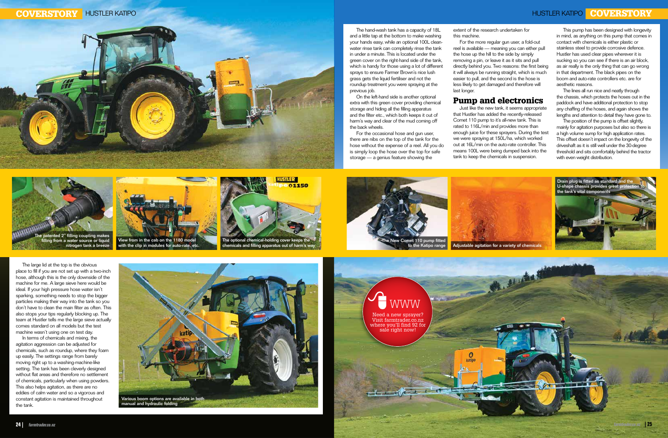The large lid at the top is the obvious place to fill if you are not set up with a two-inch hose, although this is the only downside of the machine for me. A large sieve here would be ideal. If your high pressure hose water isn't sparking, something needs to stop the bigger particles making their way into the tank so you don't have to clean the main filter as often. This also stops your tips regularly blocking up. The team at Hustler tells me the large sieve actually comes standard on all models but the test machine wasn't using one on test day.

In terms of chemicals and mixing, the agitation aggression can be adjusted for chemicals, such as roundup, where they foam up easily. The settings range from barely moving right up to a washing-machine-like setting. The tank has been cleverly designed without flat areas and therefore no settlement of chemicals, particularly when using powders. This also helps agitation, as there are no eddies of calm water and so a vigorous and constant agitation is maintained throughout the tank.

The hand-wash tank has a capacity of 18L and a little tap at the bottom to make washing your hands easy, while an optional 100L cleanwater rinse tank can completely rinse the tank in under a minute. This is located under the green cover on the right-hand side of the tank, which is handy for those using a lot of different sprays to ensure Farmer Brown's nice lush grass gets the liquid fertiliser and not the roundup treatment you were spraying at the previous job.

On the left-hand side is another optional extra with this green cover providing chemical storage and hiding all the filling apparatus and the filter etc., which both keeps it out of harm's way and clear of the mud coming off the back wheels.

For the occasional hose and gun user, there are nibs on the top of the tank for the hose without the expense of a reel. All you do is simply loop the hose over the top for safe storage — a genius feature showing the

The position of the pump is offset slightly, mainly for agitation purposes but also so there is a high volume sump for high application rates. This offset doesn't impact on the longevity of the driveshaft as it is still well under the 30-degree threshold and sits comfortably behind the tractor with even weight distribution.

extent of the research undertaken for this machine.

For the more regular gun user, a fold-out reel is available — meaning you can either pull the hose up the hill to the side by simply removing a pin, or leave it as it sits and pull directly behind you. Two reasons: the first being it will always be running straight, which is much easier to pull, and the second is the hose is less likely to get damaged and therefore will last longer.

### Pump and electronics

Just like the new tank, it seems appropriate that Hustler has added the recently-released Comet 110 pump to it's all-new tank. This is rated to 116L/min and provides more than enough juice for these sprayers. During the test we were spraying at 150L/ha, which worked out at 16L/min on the auto-rate controller. This means 100L were being dumped back into the tank to keep the chemicals in suspension.

This pump has been designed with longevity in mind, as anything on this pump that comes in contact with chemicals is either plastic or stainless steel to provide corrosive defence. Hustler has used clear pipes wherever it is sucking so you can see if there is an air block, as air really is the only thing that can go wrong in that department. The black pipes on the boom and auto-rate controllers etc. are for aesthetic reasons.

The lines all run nice and neatly through the chassis, which protects the hoses out in the paddock and have additional protection to stop any chaffing of the hoses, and again shows the lengths and attention to detail they have gone to.





chemicals and filling apparatus out of harm's way







View from in the cab on the 1180 model with the clip in modules for auto-rate, etc. nitrogen tank a breeze